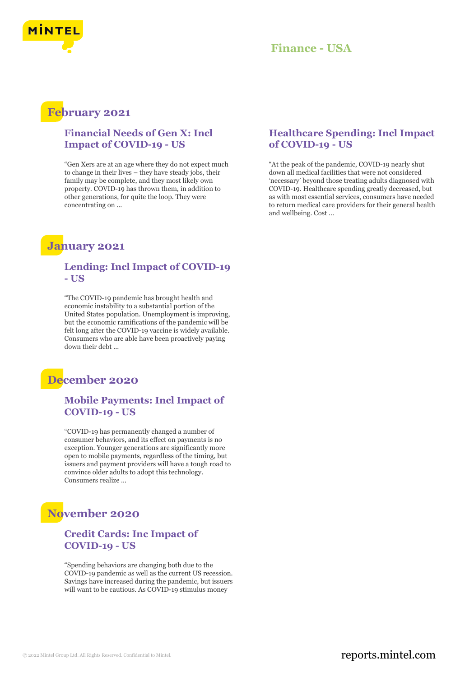

# **Finance - USA**

# **February 2021**

## **Financial Needs of Gen X: Incl Impact of COVID-19 - US**

"Gen Xers are at an age where they do not expect much to change in their lives – they have steady jobs, their family may be complete, and they most likely own property. COVID-19 has thrown them, in addition to other generations, for quite the loop. They were concentrating on ...

# **January 2021**

### **Lending: Incl Impact of COVID-19 - US**

"The COVID-19 pandemic has brought health and economic instability to a substantial portion of the United States population. Unemployment is improving, but the economic ramifications of the pandemic will be felt long after the COVID-19 vaccine is widely available. Consumers who are able have been proactively paying down their debt ...

# **December 2020**

## **Mobile Payments: Incl Impact of COVID-19 - US**

"COVID-19 has permanently changed a number of consumer behaviors, and its effect on payments is no exception. Younger generations are significantly more open to mobile payments, regardless of the timing, but issuers and payment providers will have a tough road to convince older adults to adopt this technology. Consumers realize ...

# **November 2020**

### **Credit Cards: Inc Impact of COVID-19 - US**

"Spending behaviors are changing both due to the COVID-19 pandemic as well as the current US recession. Savings have increased during the pandemic, but issuers will want to be cautious. As COVID-19 stimulus money

## **Healthcare Spending: Incl Impact of COVID-19 - US**

"At the peak of the pandemic, COVID-19 nearly shut down all medical facilities that were not considered 'necessary' beyond those treating adults diagnosed with COVID-19. Healthcare spending greatly decreased, but as with most essential services, consumers have needed to return medical care providers for their general health and wellbeing. Cost ...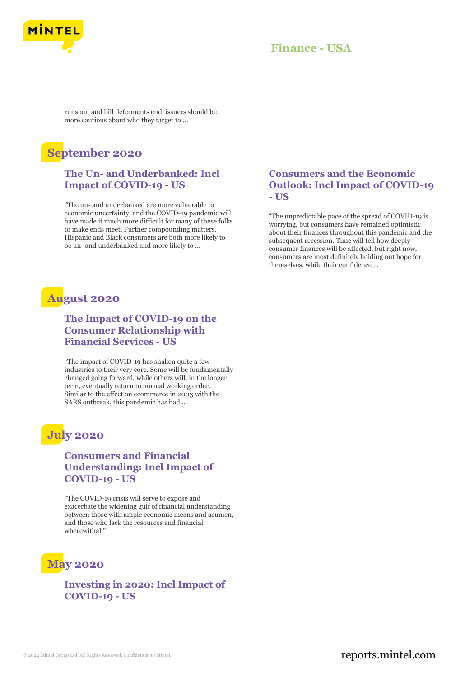

# **Finance - USA**

runs out and bill deferments end, issuers should be more cautious about who they target to ...

# **September 2020**

## **The Un- and Underbanked: Incl Impact of COVID-19 - US**

"The un- and underbanked are more vulnerable to economic uncertainty, and the COVID-19 pandemic will have made it much more difficult for many of these folks to make ends meet. Further compounding matters, Hispanic and Black consumers are both more likely to be un- and underbanked and more likely to ...

# **August 2020**

## **The Impact of COVID-19 on the Consumer Relationship with Financial Services - US**

"The impact of COVID-19 has shaken quite a few industries to their very core. Some will be fundamentally changed going forward, while others will, in the longer term, eventually return to normal working order. Similar to the effect on ecommerce in 2003 with the SARS outbreak, this pandemic has had ...

# **July 2020**

## **Consumers and Financial Understanding: Incl Impact of COVID-19 - US**

"The COVID-19 crisis will serve to expose and exacerbate the widening gulf of financial understanding between those with ample economic means and acumen, and those who lack the resources and financial wherewithal."

# **May 2020**

**Investing in 2020: Incl Impact of COVID-19 - US**

## **Consumers and the Economic Outlook: Incl Impact of COVID-19 - US**

"The unpredictable pace of the spread of COVID-19 is worrying, but consumers have remained optimistic about their finances throughout this pandemic and the subsequent recession. Time will tell how deeply consumer finances will be affected, but right now, consumers are most definitely holding out hope for themselves, while their confidence ...